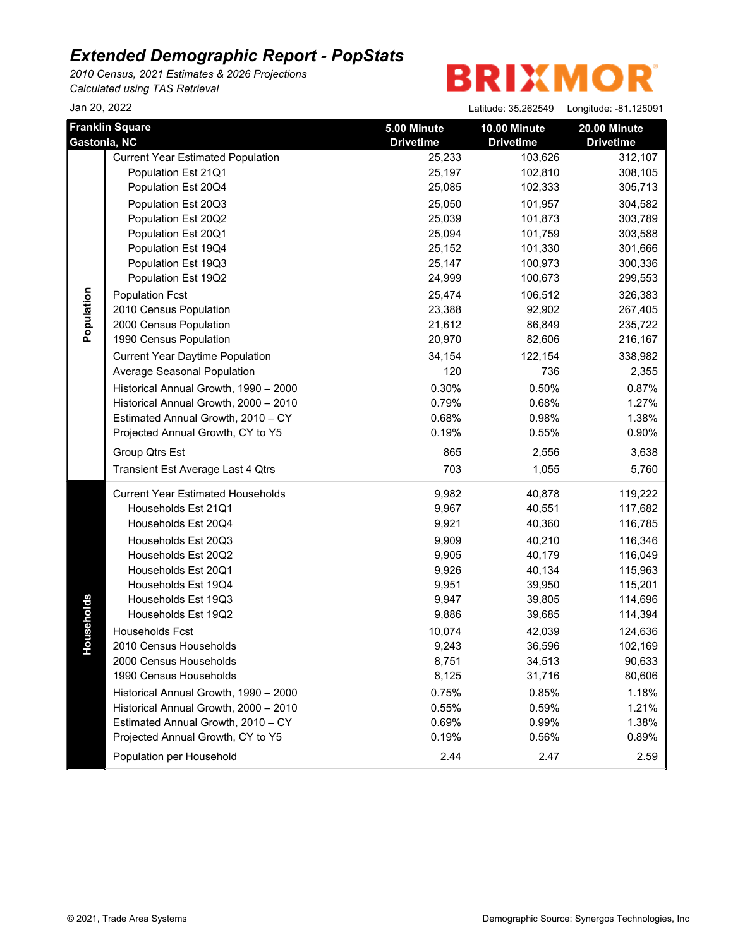*2010 Census, 2021 Estimates & 2026 Projections Calculated using TAS Retrieval*

| Jan 20, 2022 |                                                                                                                                                                                                                                                                                                                                                                                                                                                                                                                                                                                |                                                                                                                                                                                     | Latitude: 35.262549                                                                                                                                                                            | Longitude: -81.125091                                                                                                                                                                               |
|--------------|--------------------------------------------------------------------------------------------------------------------------------------------------------------------------------------------------------------------------------------------------------------------------------------------------------------------------------------------------------------------------------------------------------------------------------------------------------------------------------------------------------------------------------------------------------------------------------|-------------------------------------------------------------------------------------------------------------------------------------------------------------------------------------|------------------------------------------------------------------------------------------------------------------------------------------------------------------------------------------------|-----------------------------------------------------------------------------------------------------------------------------------------------------------------------------------------------------|
| Gastonia, NC | <b>Franklin Square</b>                                                                                                                                                                                                                                                                                                                                                                                                                                                                                                                                                         | 5.00 Minute<br><b>Drivetime</b>                                                                                                                                                     | 10.00 Minute<br><b>Drivetime</b>                                                                                                                                                               | 20.00 Minute<br><b>Drivetime</b>                                                                                                                                                                    |
| Population   | <b>Current Year Estimated Population</b><br>Population Est 21Q1<br>Population Est 20Q4<br>Population Est 20Q3<br>Population Est 20Q2<br>Population Est 20Q1<br>Population Est 19Q4<br>Population Est 19Q3<br>Population Est 19Q2<br><b>Population Fcst</b><br>2010 Census Population<br>2000 Census Population<br>1990 Census Population<br><b>Current Year Daytime Population</b><br>Average Seasonal Population<br>Historical Annual Growth, 1990 - 2000<br>Historical Annual Growth, 2000 - 2010<br>Estimated Annual Growth, 2010 - CY<br>Projected Annual Growth, CY to Y5 | 25,233<br>25,197<br>25,085<br>25,050<br>25,039<br>25,094<br>25,152<br>25,147<br>24,999<br>25,474<br>23,388<br>21,612<br>20,970<br>34,154<br>120<br>0.30%<br>0.79%<br>0.68%<br>0.19% | 103,626<br>102,810<br>102,333<br>101,957<br>101,873<br>101,759<br>101,330<br>100,973<br>100,673<br>106,512<br>92,902<br>86,849<br>82,606<br>122,154<br>736<br>0.50%<br>0.68%<br>0.98%<br>0.55% | 312,107<br>308,105<br>305,713<br>304,582<br>303,789<br>303,588<br>301,666<br>300,336<br>299,553<br>326,383<br>267,405<br>235,722<br>216,167<br>338,982<br>2,355<br>0.87%<br>1.27%<br>1.38%<br>0.90% |
|              | Group Qtrs Est<br>Transient Est Average Last 4 Qtrs                                                                                                                                                                                                                                                                                                                                                                                                                                                                                                                            | 865<br>703                                                                                                                                                                          | 2,556<br>1,055                                                                                                                                                                                 | 3,638<br>5,760                                                                                                                                                                                      |
| seholds<br>유 | <b>Current Year Estimated Households</b><br>Households Est 21Q1<br>Households Est 20Q4<br>Households Est 20Q3<br>Households Est 20Q2<br>Households Est 20Q1<br>Households Est 19Q4<br>Households Est 19Q3<br>Households Est 19Q2<br><b>Households Fcst</b><br>2010 Census Households<br>2000 Census Households<br>1990 Census Households<br>Historical Annual Growth, 1990 - 2000<br>Historical Annual Growth, 2000 - 2010<br>Estimated Annual Growth, 2010 - CY<br>Projected Annual Growth, CY to Y5<br>Population per Household                                              | 9,982<br>9,967<br>9,921<br>9,909<br>9,905<br>9,926<br>9,951<br>9,947<br>9,886<br>10,074<br>9,243<br>8,751<br>8,125<br>0.75%<br>0.55%<br>0.69%<br>0.19%<br>2.44                      | 40,878<br>40,551<br>40,360<br>40,210<br>40,179<br>40,134<br>39,950<br>39,805<br>39,685<br>42,039<br>36,596<br>34,513<br>31,716<br>0.85%<br>0.59%<br>0.99%<br>0.56%<br>2.47                     | 119,222<br>117,682<br>116,785<br>116,346<br>116,049<br>115,963<br>115,201<br>114,696<br>114,394<br>124,636<br>102,169<br>90,633<br>80,606<br>1.18%<br>1.21%<br>1.38%<br>0.89%<br>2.59               |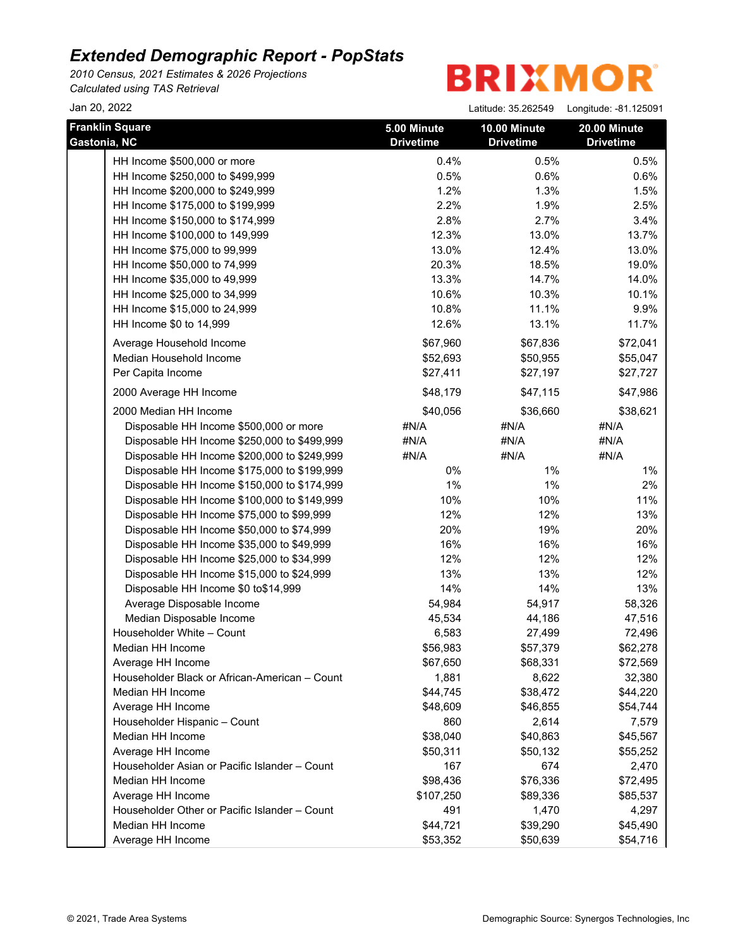*2010 Census, 2021 Estimates & 2026 Projections Calculated using TAS Retrieval*

| Jan 20, 2022                                  |                                 | Latitude: 35.262549              | Longitude: -81.125091            |
|-----------------------------------------------|---------------------------------|----------------------------------|----------------------------------|
| <b>Franklin Square</b><br>Gastonia, NC        | 5.00 Minute<br><b>Drivetime</b> | 10.00 Minute<br><b>Drivetime</b> | 20.00 Minute<br><b>Drivetime</b> |
| HH Income \$500,000 or more                   | 0.4%                            | 0.5%                             | 0.5%                             |
| HH Income \$250,000 to \$499,999              | 0.5%                            | 0.6%                             | 0.6%                             |
| HH Income \$200,000 to \$249,999              | 1.2%                            | 1.3%                             | 1.5%                             |
| HH Income \$175,000 to \$199,999              | 2.2%                            | 1.9%                             | 2.5%                             |
| HH Income \$150,000 to \$174,999              | 2.8%                            | 2.7%                             | 3.4%                             |
| HH Income \$100,000 to 149,999                | 12.3%                           | 13.0%                            | 13.7%                            |
| HH Income \$75,000 to 99,999                  | 13.0%                           | 12.4%                            | 13.0%                            |
| HH Income \$50,000 to 74,999                  | 20.3%                           | 18.5%                            | 19.0%                            |
| HH Income \$35,000 to 49,999                  | 13.3%                           | 14.7%                            | 14.0%                            |
| HH Income \$25,000 to 34,999                  | 10.6%                           | 10.3%                            | 10.1%                            |
| HH Income \$15,000 to 24,999                  | 10.8%                           | 11.1%                            | 9.9%                             |
| HH Income \$0 to 14,999                       | 12.6%                           | 13.1%                            | 11.7%                            |
| Average Household Income                      | \$67,960                        | \$67,836                         | \$72,041                         |
| Median Household Income                       | \$52,693                        | \$50,955                         | \$55,047                         |
| Per Capita Income                             | \$27,411                        | \$27,197                         | \$27,727                         |
| 2000 Average HH Income                        | \$48,179                        | \$47,115                         | \$47,986                         |
| 2000 Median HH Income                         | \$40,056                        | \$36,660                         | \$38,621                         |
| Disposable HH Income \$500,000 or more        | #N/A                            | #N/A                             | #N/A                             |
| Disposable HH Income \$250,000 to \$499,999   | #N/A                            | #N/A                             | #N/A                             |
| Disposable HH Income \$200,000 to \$249,999   | #N/A                            | #N/A                             | #N/A                             |
| Disposable HH Income \$175,000 to \$199,999   | 0%                              | 1%                               | 1%                               |
| Disposable HH Income \$150,000 to \$174,999   | 1%                              | $1\%$                            | 2%                               |
| Disposable HH Income \$100,000 to \$149,999   | 10%                             | 10%                              | 11%                              |
| Disposable HH Income \$75,000 to \$99,999     | 12%                             | 12%                              | 13%                              |
| Disposable HH Income \$50,000 to \$74,999     | 20%                             | 19%                              | 20%                              |
| Disposable HH Income \$35,000 to \$49,999     | 16%                             | 16%                              | 16%                              |
| Disposable HH Income \$25,000 to \$34,999     | 12%                             | 12%                              | 12%                              |
| Disposable HH Income \$15,000 to \$24,999     | 13%                             | 13%                              | 12%                              |
| Disposable HH Income \$0 to\$14,999           | 14%                             | 14%                              | 13%                              |
| Average Disposable Income                     | 54,984                          | 54,917                           | 58,326                           |
| Median Disposable Income                      | 45,534                          | 44,186                           | 47,516                           |
| Householder White - Count                     | 6,583                           | 27,499                           | 72,496                           |
| Median HH Income                              | \$56,983                        | \$57,379                         | \$62,278                         |
| Average HH Income                             | \$67,650                        | \$68,331                         | \$72,569                         |
| Householder Black or African-American - Count | 1,881                           | 8,622                            | 32,380                           |
| Median HH Income                              | \$44,745                        | \$38,472                         | \$44,220                         |
| Average HH Income                             | \$48,609                        | \$46,855                         | \$54,744                         |
| Householder Hispanic - Count                  | 860                             | 2,614                            | 7,579                            |
| Median HH Income                              | \$38,040                        | \$40,863                         | \$45,567                         |
| Average HH Income                             | \$50,311                        | \$50,132                         | \$55,252                         |
| Householder Asian or Pacific Islander - Count | 167                             | 674                              | 2,470                            |
| Median HH Income                              | \$98,436                        | \$76,336                         | \$72,495                         |
| Average HH Income                             | \$107,250                       | \$89,336                         | \$85,537                         |
| Householder Other or Pacific Islander - Count | 491                             | 1,470                            | 4,297                            |
| Median HH Income                              | \$44,721                        | \$39,290                         | \$45,490                         |
| Average HH Income                             | \$53,352                        | \$50,639                         | \$54,716                         |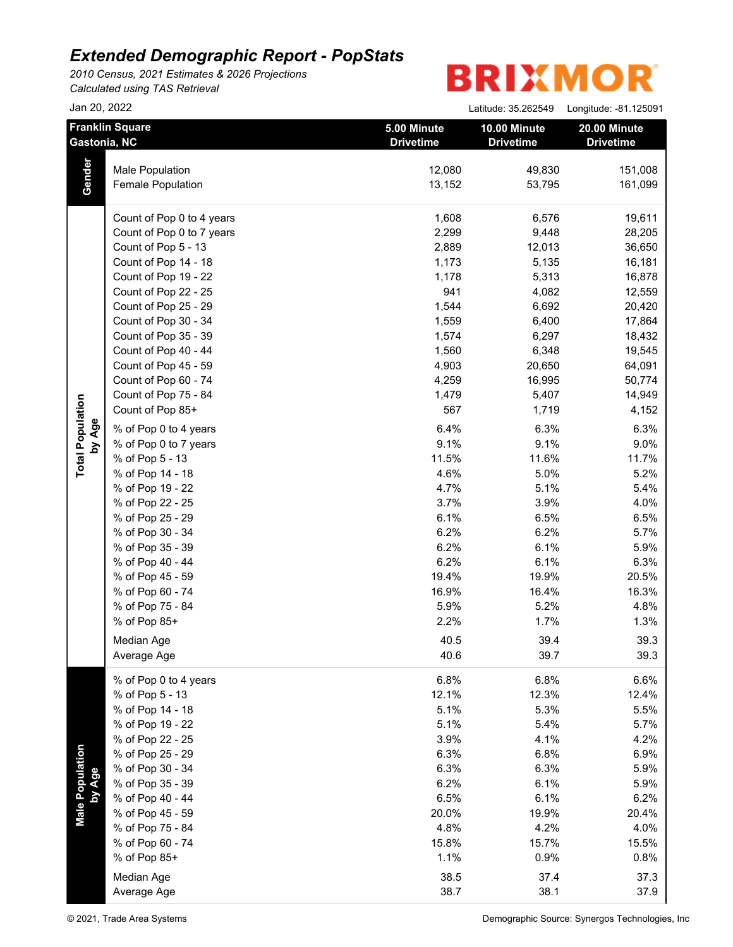*2010 Census, 2021 Estimates & 2026 Projections Calculated using TAS Retrieval*

| Jan 20, 2022              |                                        |                                 | Latitude: 35.262549              | Longitude: -81.125091            |  |
|---------------------------|----------------------------------------|---------------------------------|----------------------------------|----------------------------------|--|
|                           | <b>Franklin Square</b><br>Gastonia, NC | 5.00 Minute<br><b>Drivetime</b> | 10.00 Minute<br><b>Drivetime</b> | 20.00 Minute<br><b>Drivetime</b> |  |
|                           | Male Population                        | 12,080                          | 49,830                           | 151,008                          |  |
| Gender                    | Female Population                      | 13,152                          | 53,795                           | 161,099                          |  |
|                           | Count of Pop 0 to 4 years              | 1,608                           | 6,576                            | 19,611                           |  |
|                           | Count of Pop 0 to 7 years              | 2,299                           | 9,448                            | 28,205                           |  |
|                           | Count of Pop 5 - 13                    | 2,889                           | 12,013                           | 36,650                           |  |
|                           | Count of Pop 14 - 18                   | 1,173                           | 5,135                            | 16,181                           |  |
|                           | Count of Pop 19 - 22                   | 1,178                           | 5,313                            | 16,878                           |  |
|                           | Count of Pop 22 - 25                   | 941                             | 4,082                            | 12,559                           |  |
|                           | Count of Pop 25 - 29                   | 1,544                           | 6,692                            | 20,420                           |  |
|                           | Count of Pop 30 - 34                   | 1,559                           | 6,400                            | 17,864                           |  |
|                           | Count of Pop 35 - 39                   | 1,574                           | 6,297                            | 18,432                           |  |
|                           | Count of Pop 40 - 44                   | 1,560                           | 6,348                            | 19,545                           |  |
|                           | Count of Pop 45 - 59                   | 4,903                           | 20,650                           | 64,091                           |  |
|                           | Count of Pop 60 - 74                   | 4,259                           | 16,995                           | 50,774                           |  |
|                           | Count of Pop 75 - 84                   | 1,479                           | 5,407                            | 14,949                           |  |
|                           | Count of Pop 85+                       | 567                             | 1,719                            | 4,152                            |  |
| by Age                    | % of Pop 0 to 4 years                  | 6.4%                            | 6.3%                             | 6.3%                             |  |
|                           | % of Pop 0 to 7 years                  | 9.1%                            | 9.1%                             | 9.0%                             |  |
|                           | % of Pop 5 - 13                        | 11.5%                           | 11.6%                            | 11.7%                            |  |
|                           | % of Pop 14 - 18                       | 4.6%                            | 5.0%                             | 5.2%                             |  |
|                           | % of Pop 19 - 22                       | 4.7%                            | 5.1%                             | 5.4%                             |  |
|                           | % of Pop 22 - 25                       | 3.7%                            | 3.9%                             | 4.0%                             |  |
|                           | % of Pop 25 - 29                       | 6.1%                            | 6.5%                             | 6.5%                             |  |
|                           | % of Pop 30 - 34                       | 6.2%                            | 6.2%                             | 5.7%                             |  |
|                           | % of Pop 35 - 39                       | 6.2%                            | 6.1%                             | 5.9%                             |  |
|                           | % of Pop 40 - 44                       | 6.2%                            | 6.1%                             | 6.3%                             |  |
|                           | % of Pop 45 - 59                       | 19.4%                           | 19.9%                            | 20.5%                            |  |
|                           | % of Pop 60 - 74                       | 16.9%                           | 16.4%                            | 16.3%                            |  |
|                           | % of Pop 75 - 84                       | 5.9%                            | 5.2%                             | 4.8%                             |  |
|                           | % of Pop 85+                           | 2.2%                            | 1.7%                             | 1.3%                             |  |
|                           |                                        |                                 |                                  |                                  |  |
|                           | Median Age<br>Average Age              | 40.5<br>40.6                    | 39.4<br>39.7                     | 39.3<br>39.3                     |  |
|                           | % of Pop 0 to 4 years                  | 6.8%                            | 6.8%                             | 6.6%                             |  |
|                           | % of Pop 5 - 13                        | 12.1%                           | 12.3%                            | 12.4%                            |  |
|                           | % of Pop 14 - 18                       | 5.1%                            | 5.3%                             | 5.5%                             |  |
|                           | % of Pop 19 - 22                       | 5.1%                            | 5.4%                             | 5.7%                             |  |
|                           | % of Pop 22 - 25                       | 3.9%                            | 4.1%                             | 4.2%                             |  |
|                           | % of Pop 25 - 29                       | 6.3%                            | 6.8%                             | 6.9%                             |  |
|                           | % of Pop 30 - 34                       | 6.3%                            | 6.3%                             | 5.9%                             |  |
|                           | % of Pop 35 - 39                       | 6.2%                            | 6.1%                             | 5.9%                             |  |
|                           | % of Pop 40 - 44                       | 6.5%                            | 6.1%                             | 6.2%                             |  |
| Male Population<br>by Age | % of Pop 45 - 59                       | 20.0%                           | 19.9%                            | 20.4%                            |  |
|                           | % of Pop 75 - 84                       | 4.8%                            | 4.2%                             | 4.0%                             |  |
|                           | % of Pop 60 - 74                       | 15.8%                           | 15.7%                            | 15.5%                            |  |
|                           | % of Pop 85+                           | 1.1%                            | 0.9%                             | 0.8%                             |  |
|                           | Median Age                             | 38.5                            | 37.4                             | 37.3                             |  |
|                           |                                        |                                 |                                  |                                  |  |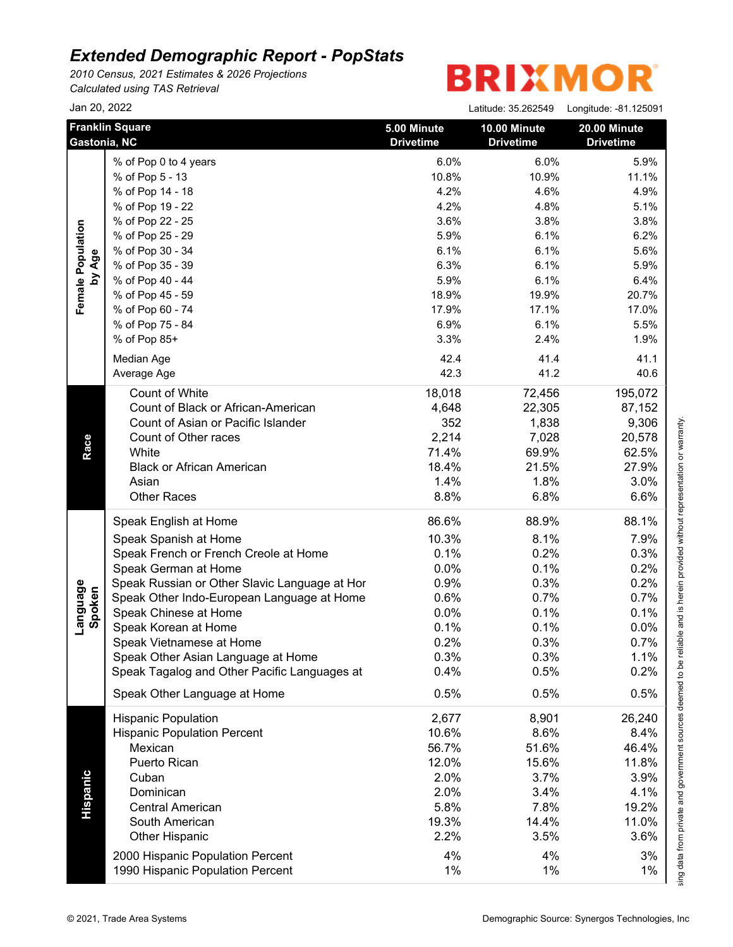*2010 Census, 2021 Estimates & 2026 Projections Calculated using TAS Retrieval*

|                    | Jan 20, 2022                                  |                                 | Latitude: 35.262549              | Longitude: -81.125091            |
|--------------------|-----------------------------------------------|---------------------------------|----------------------------------|----------------------------------|
|                    | <b>Franklin Square</b><br>Gastonia, NC        | 5.00 Minute<br><b>Drivetime</b> | 10.00 Minute<br><b>Drivetime</b> | 20.00 Minute<br><b>Drivetime</b> |
|                    | % of Pop 0 to 4 years                         | 6.0%                            | 6.0%                             | 5.9%                             |
|                    | % of Pop 5 - 13                               | 10.8%                           | 10.9%                            | 11.1%                            |
|                    | % of Pop 14 - 18                              | 4.2%                            | 4.6%                             | 4.9%                             |
|                    | % of Pop 19 - 22                              | 4.2%                            | 4.8%                             | 5.1%                             |
|                    | % of Pop 22 - 25                              | 3.6%                            | 3.8%                             | 3.8%                             |
|                    | % of Pop 25 - 29                              | 5.9%                            | 6.1%                             | 6.2%                             |
|                    | % of Pop 30 - 34                              | 6.1%                            | 6.1%                             | 5.6%                             |
| by Age             | % of Pop 35 - 39                              | 6.3%                            | 6.1%                             | 5.9%                             |
|                    | % of Pop 40 - 44                              | 5.9%                            | 6.1%                             | 6.4%                             |
|                    | % of Pop 45 - 59                              | 18.9%                           | 19.9%                            | 20.7%                            |
|                    | % of Pop 60 - 74                              | 17.9%                           | 17.1%                            | 17.0%                            |
|                    | % of Pop 75 - 84                              | 6.9%                            | 6.1%                             | 5.5%                             |
|                    | % of Pop 85+                                  | 3.3%                            | 2.4%                             | 1.9%                             |
|                    | Median Age                                    | 42.4                            | 41.4                             | 41.1                             |
|                    | Average Age                                   | 42.3                            | 41.2                             | 40.6                             |
|                    | <b>Count of White</b>                         | 18,018                          | 72,456                           | 195,072                          |
|                    | Count of Black or African-American            | 4,648                           | 22,305                           | 87,152                           |
|                    | Count of Asian or Pacific Islander            | 352                             | 1,838                            | 9,306                            |
|                    | Count of Other races                          | 2,214                           | 7,028                            | 20,578                           |
|                    | White                                         | 71.4%                           | 69.9%                            | 62.5%                            |
| Race               | <b>Black or African American</b>              | 18.4%                           | 21.5%                            | 27.9%                            |
|                    | Asian                                         | 1.4%                            | 1.8%                             | 3.0%                             |
|                    | <b>Other Races</b>                            | 8.8%                            | 6.8%                             | 6.6%                             |
|                    | Speak English at Home                         | 86.6%                           | 88.9%                            | 88.1%                            |
|                    | Speak Spanish at Home                         | 10.3%                           | 8.1%                             | 7.9%                             |
|                    | Speak French or French Creole at Home         | 0.1%                            | 0.2%                             | 0.3%                             |
|                    | Speak German at Home                          | 0.0%                            | 0.1%                             | 0.2%                             |
| Language<br>Spoken | Speak Russian or Other Slavic Language at Hor | 0.9%                            | 0.3%                             | 0.2%                             |
|                    | Speak Other Indo-European Language at Home    | 0.6%                            | 0.7%                             | 0.7%                             |
|                    | Speak Chinese at Home                         | 0.0%                            | 0.1%                             | 0.1%                             |
|                    | Speak Korean at Home                          | 0.1%                            | 0.1%                             | 0.0%                             |
|                    | Speak Vietnamese at Home                      | 0.2%                            | 0.3%                             | 0.7%                             |
|                    | Speak Other Asian Language at Home            | 0.3%                            | 0.3%                             | 1.1%                             |
|                    | Speak Tagalog and Other Pacific Languages at  | 0.4%                            | 0.5%                             | 0.2%                             |
|                    | Speak Other Language at Home                  | 0.5%                            | 0.5%                             | 0.5%                             |
|                    | <b>Hispanic Population</b>                    | 2,677                           | 8,901                            | 26,240                           |
|                    | <b>Hispanic Population Percent</b>            | 10.6%                           | 8.6%                             | 8.4%                             |
|                    | Mexican                                       | 56.7%                           | 51.6%                            | 46.4%                            |
|                    | Puerto Rican                                  | 12.0%                           | 15.6%                            | 11.8%                            |
|                    | Cuban                                         | 2.0%                            | 3.7%                             | 3.9%                             |
|                    | Dominican                                     | 2.0%                            | 3.4%                             | 4.1%                             |
|                    | <b>Central American</b>                       | 5.8%                            | 7.8%                             | 19.2%                            |
|                    | South American                                | 19.3%                           | 14.4%                            | 11.0%                            |
|                    | Other Hispanic                                | 2.2%                            | 3.5%                             | 3.6%                             |
|                    | 2000 Hispanic Population Percent              | 4%                              | 4%                               | 3%                               |
|                    |                                               | 1%                              | 1%                               | 1%                               |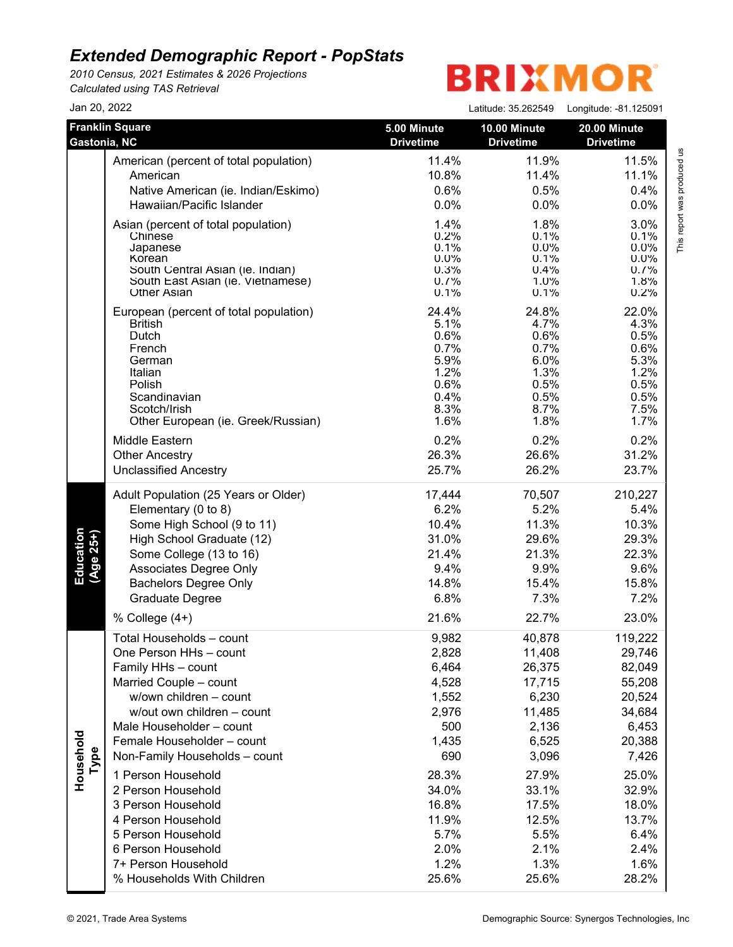*2010 Census, 2021 Estimates & 2026 Projections Calculated using TAS Retrieval*

## **BRIXMOR**

| Jan 20, 2022           |                                                                                                                                                                                                                                                                           |                                                                                    | Latitude: 35.262549                                                                         | Longitude: -81.125091                                                                          |
|------------------------|---------------------------------------------------------------------------------------------------------------------------------------------------------------------------------------------------------------------------------------------------------------------------|------------------------------------------------------------------------------------|---------------------------------------------------------------------------------------------|------------------------------------------------------------------------------------------------|
| Gastonia, NC           | <b>Franklin Square</b>                                                                                                                                                                                                                                                    | 5.00 Minute<br><b>Drivetime</b>                                                    | <b>10.00 Minute</b><br><b>Drivetime</b>                                                     | 20.00 Minute<br><b>Drivetime</b>                                                               |
|                        | American (percent of total population)                                                                                                                                                                                                                                    | 11.4%                                                                              | 11.9%                                                                                       | 11.5%                                                                                          |
|                        | American                                                                                                                                                                                                                                                                  | 10.8%                                                                              | 11.4%                                                                                       | 11.1%                                                                                          |
|                        | Native American (ie. Indian/Eskimo)                                                                                                                                                                                                                                       | 0.6%                                                                               | 0.5%                                                                                        | 0.4%                                                                                           |
|                        | Hawaiian/Pacific Islander                                                                                                                                                                                                                                                 | 0.0%                                                                               | 0.0%                                                                                        | 0.0%                                                                                           |
|                        | Asian (percent of total population)                                                                                                                                                                                                                                       | 1.4%                                                                               | 1.8%                                                                                        | 3.0%                                                                                           |
|                        | Chinese                                                                                                                                                                                                                                                                   | 0.2%                                                                               | 0.1%                                                                                        | 0.1%                                                                                           |
|                        | Japanese                                                                                                                                                                                                                                                                  | 0.1%                                                                               | $0.0\%$                                                                                     | $0.0\%$                                                                                        |
|                        | Korean                                                                                                                                                                                                                                                                    | $0.0\%$                                                                            | 0.1%                                                                                        | 0.0%                                                                                           |
|                        | South Central Asian (ie. Indian)                                                                                                                                                                                                                                          | 0.3%                                                                               | 0.4%                                                                                        | 0.7%                                                                                           |
|                        | South East Asian (ie. Vietnamese)                                                                                                                                                                                                                                         | 0.7%                                                                               | $1.0\%$                                                                                     | 1.8%                                                                                           |
|                        | <b>Other Asian</b>                                                                                                                                                                                                                                                        | 0.1%                                                                               | 0.1%                                                                                        | 0.2%                                                                                           |
|                        | European (percent of total population)                                                                                                                                                                                                                                    | 24.4%                                                                              | 24.8%                                                                                       | 22.0%                                                                                          |
|                        | <b>British</b>                                                                                                                                                                                                                                                            | 5.1%                                                                               | 4.7%                                                                                        | 4.3%                                                                                           |
|                        | Dutch                                                                                                                                                                                                                                                                     | 0.6%                                                                               | 0.6%                                                                                        | 0.5%                                                                                           |
|                        | French                                                                                                                                                                                                                                                                    | 0.7%                                                                               | 0.7%                                                                                        | 0.6%                                                                                           |
|                        | German                                                                                                                                                                                                                                                                    | 5.9%                                                                               | 6.0%                                                                                        | 5.3%                                                                                           |
|                        | Italian                                                                                                                                                                                                                                                                   | 1.2%                                                                               | 1.3%                                                                                        | 1.2%                                                                                           |
|                        | Polish                                                                                                                                                                                                                                                                    | 0.6%                                                                               | 0.5%                                                                                        | 0.5%                                                                                           |
|                        | Scandinavian                                                                                                                                                                                                                                                              | 0.4%                                                                               | 0.5%                                                                                        | 0.5%                                                                                           |
|                        | Scotch/Irish                                                                                                                                                                                                                                                              | 8.3%                                                                               | 8.7%                                                                                        | 7.5%                                                                                           |
|                        | Other European (ie. Greek/Russian)                                                                                                                                                                                                                                        | 1.6%                                                                               | 1.8%                                                                                        | 1.7%                                                                                           |
|                        | Middle Eastern                                                                                                                                                                                                                                                            | 0.2%                                                                               | 0.2%                                                                                        | 0.2%                                                                                           |
|                        | <b>Other Ancestry</b>                                                                                                                                                                                                                                                     | 26.3%                                                                              | 26.6%                                                                                       | 31.2%                                                                                          |
|                        | <b>Unclassified Ancestry</b>                                                                                                                                                                                                                                              | 25.7%                                                                              | 26.2%                                                                                       | 23.7%                                                                                          |
| Education<br>(Age 25+) | Adult Population (25 Years or Older)                                                                                                                                                                                                                                      | 17,444                                                                             | 70,507                                                                                      | 210,227                                                                                        |
|                        | Elementary (0 to 8)                                                                                                                                                                                                                                                       | 6.2%                                                                               | 5.2%                                                                                        | 5.4%                                                                                           |
|                        | Some High School (9 to 11)                                                                                                                                                                                                                                                | 10.4%                                                                              | 11.3%                                                                                       | 10.3%                                                                                          |
|                        | High School Graduate (12)                                                                                                                                                                                                                                                 | 31.0%                                                                              | 29.6%                                                                                       | 29.3%                                                                                          |
|                        | Some College (13 to 16)                                                                                                                                                                                                                                                   | 21.4%                                                                              | 21.3%                                                                                       | 22.3%                                                                                          |
|                        | Associates Degree Only                                                                                                                                                                                                                                                    | 9.4%                                                                               | 9.9%                                                                                        | 9.6%                                                                                           |
|                        | <b>Bachelors Degree Only</b>                                                                                                                                                                                                                                              | 14.8%                                                                              | 15.4%                                                                                       | 15.8%                                                                                          |
|                        | Graduate Degree                                                                                                                                                                                                                                                           | 6.8%                                                                               | 7.3%                                                                                        | 7.2%                                                                                           |
| Household<br>Type      | % College $(4+)$<br>Total Households - count<br>One Person HHs - count<br>Family HHs - count<br>Married Couple - count<br>w/own children - count<br>w/out own children - count<br>Male Householder - count<br>Female Householder - count<br>Non-Family Households - count | 21.6%<br>9,982<br>2,828<br>6,464<br>4,528<br>1,552<br>2,976<br>500<br>1,435<br>690 | 22.7%<br>40,878<br>11,408<br>26,375<br>17,715<br>6,230<br>11,485<br>2,136<br>6,525<br>3,096 | 23.0%<br>119,222<br>29,746<br>82,049<br>55,208<br>20,524<br>34,684<br>6,453<br>20,388<br>7,426 |
|                        | 1 Person Household                                                                                                                                                                                                                                                        | 28.3%                                                                              | 27.9%                                                                                       | 25.0%                                                                                          |
|                        | 2 Person Household                                                                                                                                                                                                                                                        | 34.0%                                                                              | 33.1%                                                                                       | 32.9%                                                                                          |
|                        | 3 Person Household                                                                                                                                                                                                                                                        | 16.8%                                                                              | 17.5%                                                                                       | 18.0%                                                                                          |
|                        | 4 Person Household                                                                                                                                                                                                                                                        | 11.9%                                                                              | 12.5%                                                                                       | 13.7%                                                                                          |
|                        | 5 Person Household                                                                                                                                                                                                                                                        | 5.7%                                                                               | 5.5%                                                                                        | 6.4%                                                                                           |
|                        | 6 Person Household                                                                                                                                                                                                                                                        | 2.0%                                                                               | 2.1%                                                                                        | 2.4%                                                                                           |
|                        | 7+ Person Household                                                                                                                                                                                                                                                       | 1.2%                                                                               | 1.3%                                                                                        | 1.6%                                                                                           |
|                        | % Households With Children                                                                                                                                                                                                                                                | 25.6%                                                                              | 25.6%                                                                                       | 28.2%                                                                                          |

This report was produced us<br>T This report was produced us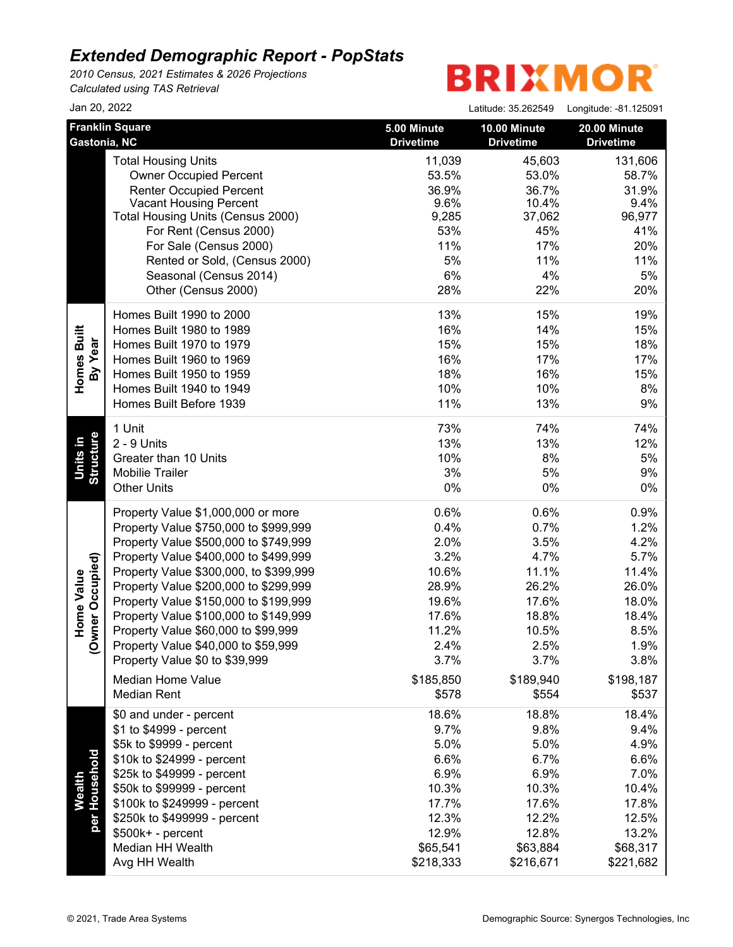*2010 Census, 2021 Estimates & 2026 Projections Calculated using TAS Retrieval*

| Jan 20, 2022            |                                        |                                 | Latitude: 35.262549              | Longitude: -81.125091            |
|-------------------------|----------------------------------------|---------------------------------|----------------------------------|----------------------------------|
| Gastonia, NC            | <b>Franklin Square</b>                 | 5.00 Minute<br><b>Drivetime</b> | 10.00 Minute<br><b>Drivetime</b> | 20.00 Minute<br><b>Drivetime</b> |
|                         | <b>Total Housing Units</b>             | 11,039                          | 45,603                           | 131,606                          |
|                         | <b>Owner Occupied Percent</b>          | 53.5%                           | 53.0%                            | 58.7%                            |
|                         | <b>Renter Occupied Percent</b>         | 36.9%                           | 36.7%                            | 31.9%                            |
|                         | <b>Vacant Housing Percent</b>          | 9.6%                            | 10.4%                            | 9.4%                             |
|                         | Total Housing Units (Census 2000)      | 9,285                           | 37,062                           | 96,977                           |
|                         | For Rent (Census 2000)                 | 53%                             | 45%                              | 41%                              |
|                         | For Sale (Census 2000)                 | 11%                             | 17%                              | 20%                              |
|                         | Rented or Sold, (Census 2000)          | 5%                              | 11%                              | 11%                              |
|                         | Seasonal (Census 2014)                 | 6%                              | 4%                               | 5%                               |
|                         | Other (Census 2000)                    | 28%                             | 22%                              | 20%                              |
|                         | Homes Built 1990 to 2000               | 13%                             | 15%                              | 19%                              |
|                         | Homes Built 1980 to 1989               | 16%                             | 14%                              | 15%                              |
| Homes Built<br>By Year  | Homes Built 1970 to 1979               | 15%                             | 15%                              | 18%                              |
|                         | Homes Built 1960 to 1969               | 16%                             | 17%                              | 17%                              |
|                         | Homes Built 1950 to 1959               | 18%                             | 16%                              | 15%                              |
|                         | Homes Built 1940 to 1949               | 10%                             | 10%                              | 8%                               |
|                         | Homes Built Before 1939                | 11%                             | 13%                              | 9%                               |
|                         | 1 Unit                                 | 73%                             | 74%                              | 74%                              |
|                         | 2 - 9 Units                            | 13%                             | 13%                              | 12%                              |
| Structure<br>Units in   | Greater than 10 Units                  | 10%                             | 8%                               | 5%                               |
|                         | <b>Mobilie Trailer</b>                 | 3%                              | 5%                               | 9%                               |
|                         | <b>Other Units</b>                     | 0%                              | 0%                               | 0%                               |
|                         | Property Value \$1,000,000 or more     | 0.6%                            | 0.6%                             | 0.9%                             |
|                         | Property Value \$750,000 to \$999,999  | 0.4%                            | 0.7%                             | 1.2%                             |
|                         | Property Value \$500,000 to \$749,999  | 2.0%                            | 3.5%                             | 4.2%                             |
|                         | Property Value \$400,000 to \$499,999  | 3.2%                            | 4.7%                             | 5.7%                             |
| vner Occupied)          | Property Value \$300,000, to \$399,999 | 10.6%                           | 11.1%                            | 11.4%                            |
| Home Value              | Property Value \$200,000 to \$299,999  | 28.9%                           | 26.2%                            | 26.0%                            |
|                         | Property Value \$150,000 to \$199,999  | 19.6%                           | 17.6%                            | 18.0%                            |
|                         | Property Value \$100,000 to \$149,999  | 17.6%                           | 18.8%                            | 18.4%                            |
|                         | Property Value \$60,000 to \$99,999    | 11.2%                           | 10.5%                            | 8.5%                             |
| ş                       | Property Value \$40,000 to \$59,999    | 2.4%                            | 2.5%                             | 1.9%                             |
|                         | Property Value \$0 to \$39,999         | 3.7%                            | 3.7%                             | 3.8%                             |
|                         | <b>Median Home Value</b>               | \$185,850                       | \$189,940                        | \$198,187                        |
|                         | <b>Median Rent</b>                     | \$578                           | \$554                            | \$537                            |
|                         | \$0 and under - percent                | 18.6%                           | 18.8%                            | 18.4%                            |
|                         | \$1 to \$4999 - percent                | 9.7%                            | 9.8%                             | 9.4%                             |
|                         | \$5k to \$9999 - percent               | 5.0%                            | 5.0%                             | 4.9%                             |
|                         | \$10k to \$24999 - percent             | 6.6%                            | 6.7%                             | 6.6%                             |
|                         | \$25k to \$49999 - percent             | 6.9%                            | 6.9%                             | 7.0%                             |
| per Household<br>Wealth | \$50k to \$99999 - percent             | 10.3%                           | 10.3%                            | 10.4%                            |
|                         | \$100k to \$249999 - percent           | 17.7%                           | 17.6%                            | 17.8%                            |
|                         |                                        |                                 |                                  |                                  |
|                         | \$250k to \$499999 - percent           | 12.3%                           | 12.2%                            | 12.5%                            |
|                         | $$500k+ - percent$                     | 12.9%                           | 12.8%                            | 13.2%                            |
|                         | Median HH Wealth                       | \$65,541                        | \$63,884                         | \$68,317                         |
|                         | Avg HH Wealth                          | \$218,333                       | \$216,671                        | \$221,682                        |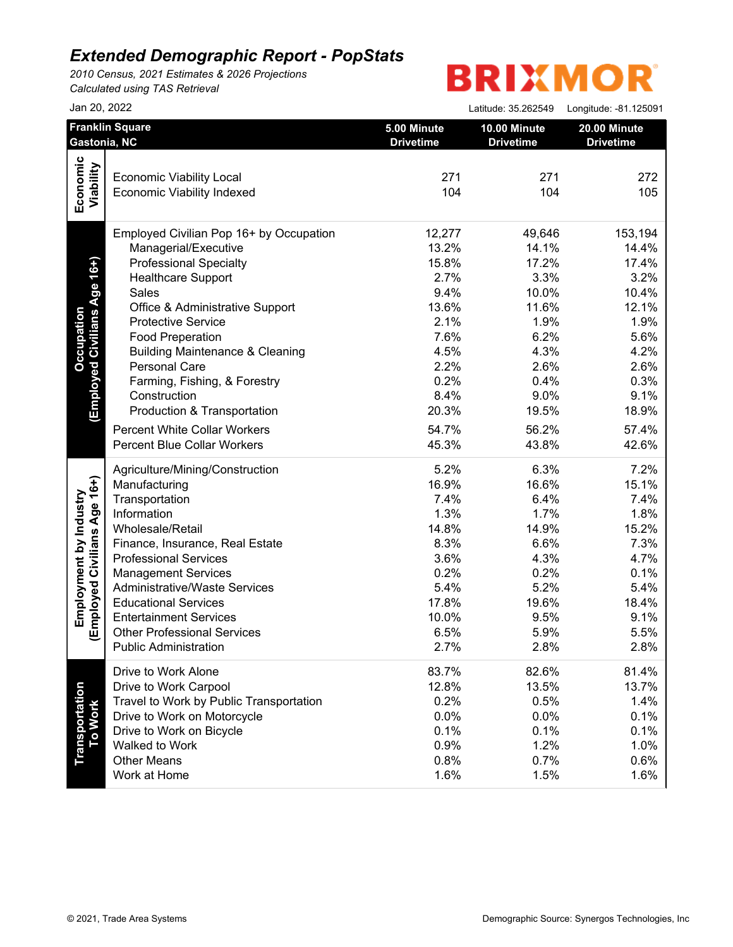*2010 Census, 2021 Estimates & 2026 Projections Calculated using TAS Retrieval*

|                              | Jan 20, 2022                               |                                 | Latitude: 35.262549              | Longitude: - 81.125091           |
|------------------------------|--------------------------------------------|---------------------------------|----------------------------------|----------------------------------|
|                              | <b>Franklin Square</b><br>Gastonia, NC     | 5.00 Minute<br><b>Drivetime</b> | 10.00 Minute<br><b>Drivetime</b> | 20.00 Minute<br><b>Drivetime</b> |
|                              |                                            |                                 |                                  |                                  |
|                              | <b>Economic Viability Local</b>            | 271                             | 271                              | 272                              |
|                              | <b>Economic Viability Indexed</b>          | 104                             | 104                              | 105                              |
| Economic<br>Viability        |                                            |                                 |                                  |                                  |
|                              | Employed Civilian Pop 16+ by Occupation    | 12,277                          | 49,646                           | 153,194                          |
|                              | Managerial/Executive                       | 13.2%                           | 14.1%                            | 14.4%                            |
| (Employed Civilians Age 16+) | <b>Professional Specialty</b>              | 15.8%                           | 17.2%                            | 17.4%                            |
|                              | <b>Healthcare Support</b>                  | 2.7%                            | 3.3%                             | 3.2%                             |
|                              | Sales                                      | 9.4%                            | 10.0%                            | 10.4%                            |
|                              | Office & Administrative Support            | 13.6%                           | 11.6%                            | 12.1%                            |
|                              | <b>Protective Service</b>                  | 2.1%                            | 1.9%                             | 1.9%                             |
|                              | <b>Food Preperation</b>                    | 7.6%                            | 6.2%                             | 5.6%                             |
|                              | <b>Building Maintenance &amp; Cleaning</b> | 4.5%                            | 4.3%                             | 4.2%                             |
|                              | Personal Care                              | 2.2%                            | 2.6%                             | 2.6%                             |
|                              | Farming, Fishing, & Forestry               | 0.2%                            | 0.4%                             | 0.3%                             |
|                              | Construction                               | 8.4%                            | 9.0%                             | 9.1%                             |
|                              | Production & Transportation                | 20.3%                           | 19.5%                            | 18.9%                            |
|                              | <b>Percent White Collar Workers</b>        | 54.7%                           | 56.2%                            | 57.4%                            |
|                              | <b>Percent Blue Collar Workers</b>         | 45.3%                           | 43.8%                            | 42.6%                            |
|                              | Agriculture/Mining/Construction            | 5.2%                            | 6.3%                             | 7.2%                             |
|                              | Manufacturing                              | 16.9%                           | 16.6%                            | 15.1%                            |
|                              | Transportation                             | 7.4%                            | 6.4%                             | 7.4%                             |
|                              | Information                                | 1.3%                            | 1.7%                             | 1.8%                             |
|                              | Wholesale/Retail                           | 14.8%                           | 14.9%                            | 15.2%                            |
|                              | Finance, Insurance, Real Estate            | 8.3%                            | 6.6%                             | 7.3%                             |
|                              | <b>Professional Services</b>               | 3.6%                            | 4.3%                             | 4.7%                             |
|                              | <b>Management Services</b>                 | 0.2%                            | 0.2%                             | 0.1%                             |
|                              | <b>Administrative/Waste Services</b>       | 5.4%                            | 5.2%                             | 5.4%                             |
|                              | <b>Educational Services</b>                | 17.8%                           | 19.6%                            | 18.4%                            |
|                              | <b>Entertainment Services</b>              | 10.0%                           | 9.5%                             | 9.1%                             |
| Employed Civilians Age 16+)  | <b>Other Professional Services</b>         | 6.5%                            | 5.9%                             | 5.5%                             |
|                              | <b>Public Administration</b>               | 2.7%                            | 2.8%                             | 2.8%                             |
|                              | Drive to Work Alone                        | 83.7%                           | 82.6%                            | 81.4%                            |
|                              | Drive to Work Carpool                      | 12.8%                           | 13.5%                            | 13.7%                            |
|                              | Travel to Work by Public Transportation    | 0.2%                            | 0.5%                             | 1.4%                             |
| To Work                      | Drive to Work on Motorcycle                | 0.0%                            | 0.0%                             | 0.1%                             |
|                              | Drive to Work on Bicycle                   | 0.1%                            | 0.1%                             | 0.1%                             |
|                              | Walked to Work                             | 0.9%                            | 1.2%                             | 1.0%                             |
|                              | <b>Other Means</b>                         | 0.8%                            | 0.7%                             | 0.6%                             |
|                              | Work at Home                               | 1.6%                            | 1.5%                             | 1.6%                             |